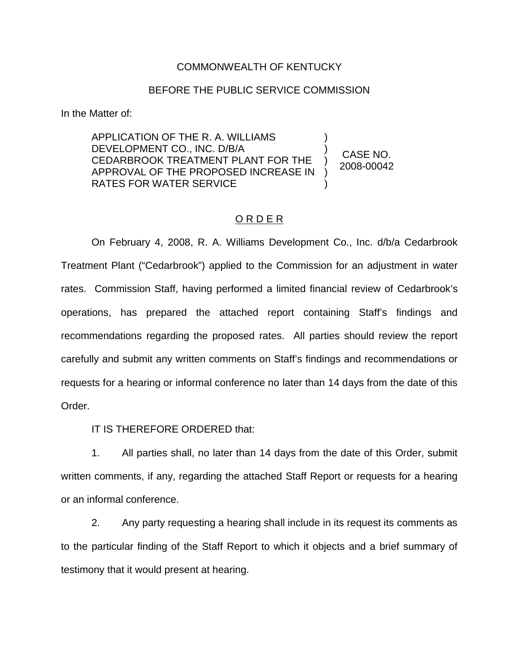# COMMONWEALTH OF KENTUCKY

# BEFORE THE PUBLIC SERVICE COMMISSION

In the Matter of:

APPLICATION OF THE R. A. WILLIAMS DEVELOPMENT CO., INC. D/B/A CEDARBROOK TREATMENT PLANT FOR THE APPROVAL OF THE PROPOSED INCREASE IN RATES FOR WATER SERVICE ) ) ) ) )

CASE NO. 2008-00042

# O R D E R

On February 4, 2008, R. A. Williams Development Co., Inc. d/b/a Cedarbrook Treatment Plant ("Cedarbrook") applied to the Commission for an adjustment in water rates. Commission Staff, having performed a limited financial review of Cedarbrook's operations, has prepared the attached report containing Staff's findings and recommendations regarding the proposed rates. All parties should review the report carefully and submit any written comments on Staff's findings and recommendations or requests for a hearing or informal conference no later than 14 days from the date of this Order.

IT IS THEREFORE ORDERED that:

1. All parties shall, no later than 14 days from the date of this Order, submit written comments, if any, regarding the attached Staff Report or requests for a hearing or an informal conference.

2. Any party requesting a hearing shall include in its request its comments as to the particular finding of the Staff Report to which it objects and a brief summary of testimony that it would present at hearing.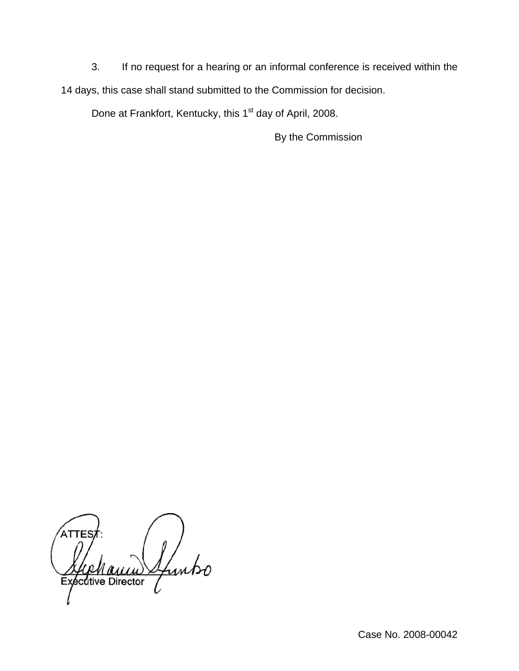3. If no request for a hearing or an informal conference is received within the 14 days, this case shall stand submitted to the Commission for decision.

Done at Frankfort, Kentucky, this 1<sup>st</sup> day of April, 2008.

By the Commission

**TES** Links écutive Director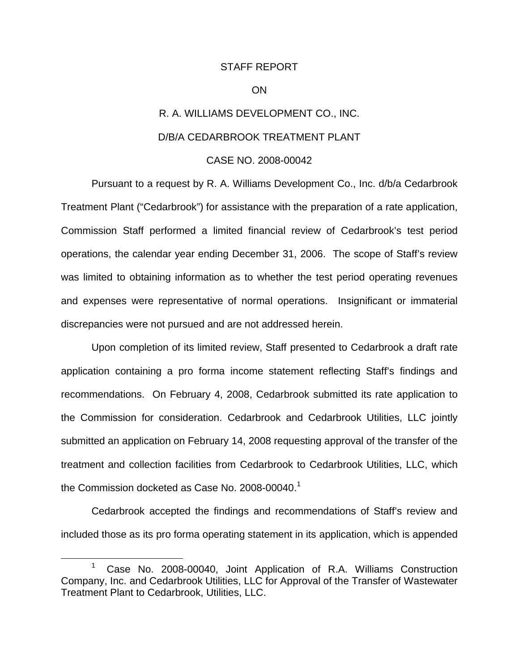## STAFF REPORT

### ON

# R. A. WILLIAMS DEVELOPMENT CO., INC. D/B/A CEDARBROOK TREATMENT PLANT

# CASE NO. 2008-00042

Pursuant to a request by R. A. Williams Development Co., Inc. d/b/a Cedarbrook Treatment Plant ("Cedarbrook") for assistance with the preparation of a rate application, Commission Staff performed a limited financial review of Cedarbrook's test period operations, the calendar year ending December 31, 2006. The scope of Staff's review was limited to obtaining information as to whether the test period operating revenues and expenses were representative of normal operations. Insignificant or immaterial discrepancies were not pursued and are not addressed herein.

Upon completion of its limited review, Staff presented to Cedarbrook a draft rate application containing a pro forma income statement reflecting Staff's findings and recommendations. On February 4, 2008, Cedarbrook submitted its rate application to the Commission for consideration. Cedarbrook and Cedarbrook Utilities, LLC jointly submitted an application on February 14, 2008 requesting approval of the transfer of the treatment and collection facilities from Cedarbrook to Cedarbrook Utilities, LLC, which the Commission docketed as Case No. 2008-00040. $<sup>1</sup>$ </sup>

Cedarbrook accepted the findings and recommendations of Staff's review and included those as its pro forma operating statement in its application, which is appended

<sup>&</sup>lt;sup>1</sup> Case No. 2008-00040, Joint Application of R.A. Williams Construction Company, Inc. and Cedarbrook Utilities, LLC for Approval of the Transfer of Wastewater Treatment Plant to Cedarbrook, Utilities, LLC.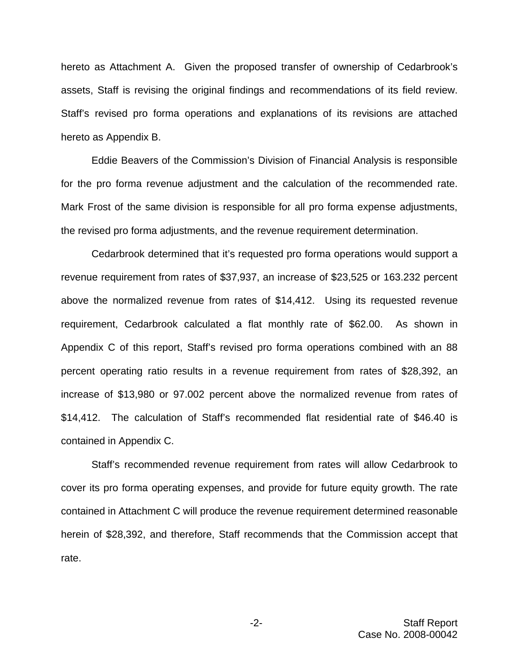hereto as Attachment A. Given the proposed transfer of ownership of Cedarbrook's assets, Staff is revising the original findings and recommendations of its field review. Staff's revised pro forma operations and explanations of its revisions are attached hereto as Appendix B.

Eddie Beavers of the Commission's Division of Financial Analysis is responsible for the pro forma revenue adjustment and the calculation of the recommended rate. Mark Frost of the same division is responsible for all pro forma expense adjustments, the revised pro forma adjustments, and the revenue requirement determination.

Cedarbrook determined that it's requested pro forma operations would support a revenue requirement from rates of \$37,937, an increase of \$23,525 or 163.232 percent above the normalized revenue from rates of \$14,412. Using its requested revenue requirement, Cedarbrook calculated a flat monthly rate of \$62.00. As shown in Appendix C of this report, Staff's revised pro forma operations combined with an 88 percent operating ratio results in a revenue requirement from rates of \$28,392, an increase of \$13,980 or 97.002 percent above the normalized revenue from rates of \$14,412. The calculation of Staff's recommended flat residential rate of \$46.40 is contained in Appendix C.

Staff's recommended revenue requirement from rates will allow Cedarbrook to cover its pro forma operating expenses, and provide for future equity growth. The rate contained in Attachment C will produce the revenue requirement determined reasonable herein of \$28,392, and therefore, Staff recommends that the Commission accept that rate.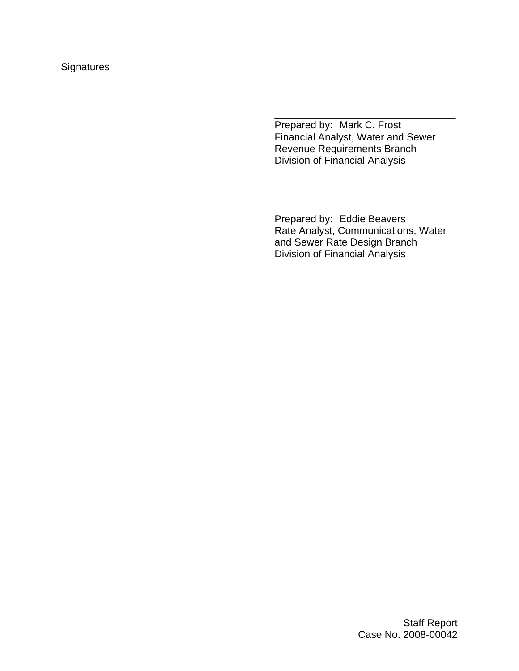# **Signatures**

Prepared by: Mark C. Frost Financial Analyst, Water and Sewer Revenue Requirements Branch Division of Financial Analysis

\_\_\_\_\_\_\_\_\_\_\_\_\_\_\_\_\_\_\_\_\_\_\_\_\_\_\_\_\_\_\_\_

Prepared by: Eddie Beavers Rate Analyst, Communications, Water and Sewer Rate Design Branch Division of Financial Analysis

\_\_\_\_\_\_\_\_\_\_\_\_\_\_\_\_\_\_\_\_\_\_\_\_\_\_\_\_\_\_\_\_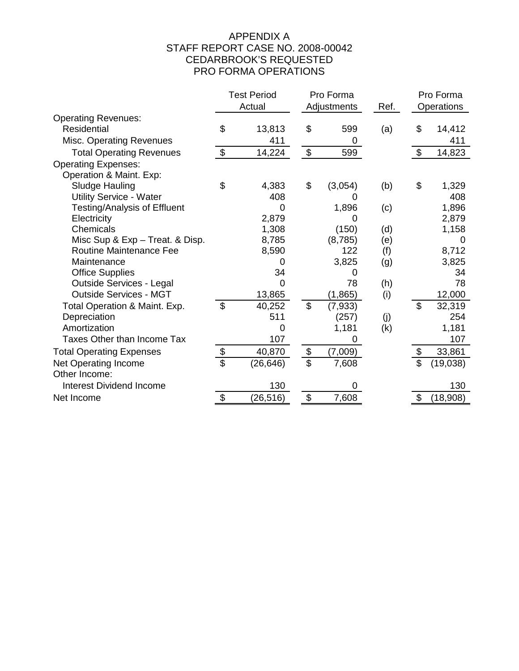# APPENDIX A STAFF REPORT CASE NO. 2008-00042 CEDARBROOK'S REQUESTED PRO FORMA OPERATIONS

|                                 |                          | <b>Test Period</b> |                           | Pro Forma   |      |                | Pro Forma  |
|---------------------------------|--------------------------|--------------------|---------------------------|-------------|------|----------------|------------|
|                                 |                          | Actual             |                           | Adjustments | Ref. |                | Operations |
| <b>Operating Revenues:</b>      |                          |                    |                           |             |      |                |            |
| Residential                     | \$                       | 13,813             | \$                        | 599         | (a)  | \$             | 14,412     |
| <b>Misc. Operating Revenues</b> |                          | 411                |                           | 0           |      |                | 411        |
| <b>Total Operating Revenues</b> | \$                       | 14,224             | $\boldsymbol{\mathsf{S}}$ | 599         |      | \$             | 14,823     |
| <b>Operating Expenses:</b>      |                          |                    |                           |             |      |                |            |
| Operation & Maint. Exp:         |                          |                    |                           |             |      |                |            |
| Sludge Hauling                  | \$                       | 4,383              | \$                        | (3,054)     | (b)  | \$             | 1,329      |
| <b>Utility Service - Water</b>  |                          | 408                |                           |             |      |                | 408        |
| Testing/Analysis of Effluent    |                          | 0                  |                           | 1,896       | (c)  |                | 1,896      |
| Electricity                     |                          | 2,879              |                           | 0           |      |                | 2,879      |
| Chemicals                       |                          | 1,308              |                           | (150)       | (d)  |                | 1,158      |
| Misc Sup & Exp - Treat. & Disp. |                          | 8,785              |                           | (8,785)     | (e)  |                | 0          |
| <b>Routine Maintenance Fee</b>  |                          | 8,590              |                           | 122         | (f)  |                | 8,712      |
| Maintenance                     |                          | 0                  |                           | 3,825       | (g)  |                | 3,825      |
| <b>Office Supplies</b>          |                          | 34                 |                           | 0           |      |                | 34         |
| <b>Outside Services - Legal</b> |                          | 0                  |                           | 78          | (h)  |                | 78         |
| <b>Outside Services - MGT</b>   |                          | 13,865             |                           | (1, 865)    | (i)  |                | 12,000     |
| Total Operation & Maint. Exp.   | $\mathfrak{S}$           | 40,252             | \$                        | (7,933)     |      | $\mathfrak{L}$ | 32,319     |
| Depreciation                    |                          | 511                |                           | (257)       | (j)  |                | 254        |
| Amortization                    |                          | 0                  |                           | 1,181       | (k)  |                | 1,181      |
| Taxes Other than Income Tax     |                          | 107                |                           | 0           |      |                | 107        |
| <b>Total Operating Expenses</b> | \$                       | 40,870             | $\boldsymbol{\theta}$     | (7,009)     |      | \$             | 33,861     |
| Net Operating Income            | $\overline{\mathcal{S}}$ | (26, 646)          | \$                        | 7,608       |      | \$             | (19,038)   |
| Other Income:                   |                          |                    |                           |             |      |                |            |
| <b>Interest Dividend Income</b> |                          | 130                |                           | 0           |      |                | 130        |
| Net Income                      | \$                       | (26, 516)          | \$                        | 7,608       |      | \$             | (18,908)   |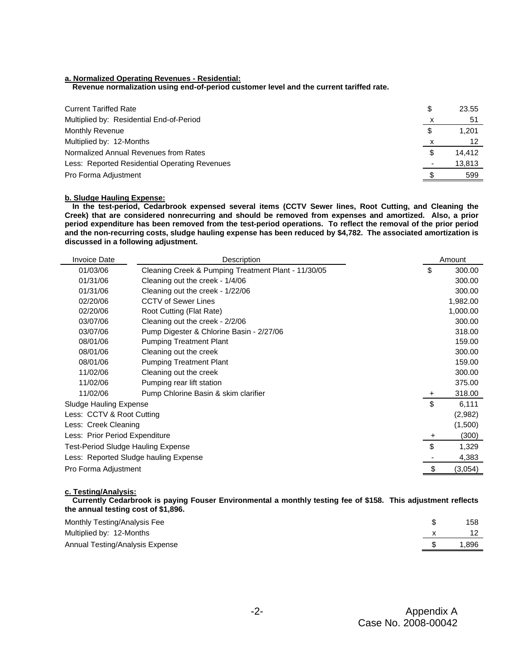### **a. Normalized Operating Revenues - Residential:**

**Revenue normalization using end-of-period customer level and the current tariffed rate.**

| <b>Current Tariffed Rate</b>                  |   | 23.55  |
|-----------------------------------------------|---|--------|
| Multiplied by: Residential End-of-Period      |   | 51     |
| Monthly Revenue                               |   | 1.201  |
| Multiplied by: 12-Months                      |   |        |
| Normalized Annual Revenues from Rates         | S | 14,412 |
| Less: Reported Residential Operating Revenues |   | 13,813 |
| Pro Forma Adjustment                          |   | 599    |

#### **b. Sludge Hauling Expense:**

**In the test-period, Cedarbrook expensed several items (CCTV Sewer lines, Root Cutting, and Cleaning the Creek) that are considered nonrecurring and should be removed from expenses and amortized. Also, a prior period expenditure has been removed from the test-period operations. To reflect the removal of the prior period and the non-recurring costs, sludge hauling expense has been reduced by \$4,782. The associated amortization is discussed in a following adjustment.**

| <b>Invoice Date</b>                   | Description                                         |           | Amount   |
|---------------------------------------|-----------------------------------------------------|-----------|----------|
| 01/03/06                              | Cleaning Creek & Pumping Treatment Plant - 11/30/05 | \$        | 300.00   |
| 01/31/06                              | Cleaning out the creek - 1/4/06                     |           | 300.00   |
| 01/31/06                              | Cleaning out the creek - 1/22/06                    |           | 300.00   |
| 02/20/06                              | <b>CCTV of Sewer Lines</b>                          |           | 1,982.00 |
| 02/20/06                              | Root Cutting (Flat Rate)                            |           | 1,000.00 |
| 03/07/06                              | Cleaning out the creek - 2/2/06                     |           | 300.00   |
| 03/07/06                              | Pump Digester & Chlorine Basin - 2/27/06            |           | 318.00   |
| 08/01/06                              | <b>Pumping Treatment Plant</b>                      |           | 159.00   |
| 08/01/06                              | Cleaning out the creek                              |           | 300.00   |
| 08/01/06                              | <b>Pumping Treatment Plant</b>                      |           | 159.00   |
| 11/02/06                              | Cleaning out the creek                              |           | 300.00   |
| 11/02/06                              | Pumping rear lift station                           |           | 375.00   |
| 11/02/06                              | Pump Chlorine Basin & skim clarifier                | $\ddot{}$ | 318.00   |
| Sludge Hauling Expense                |                                                     | \$        | 6,111    |
| Less: CCTV & Root Cutting             |                                                     |           | (2,982)  |
| Less: Creek Cleaning                  |                                                     |           | (1,500)  |
| Less: Prior Period Expenditure        |                                                     | +         | (300)    |
| Test-Period Sludge Hauling Expense    |                                                     | \$        | 1,329    |
| Less: Reported Sludge hauling Expense |                                                     |           | 4,383    |
| Pro Forma Adjustment                  |                                                     | \$        | (3,054)  |

### **c. Testing/Analysis:**

**Currently Cedarbrook is paying Fouser Environmental a monthly testing fee of \$158. This adjustment reflects the annual testing cost of \$1,896.**

| Monthly Testing/Analysis Fee    | 158  |
|---------------------------------|------|
| Multiplied by: 12-Months        |      |
| Annual Testing/Analysis Expense | .896 |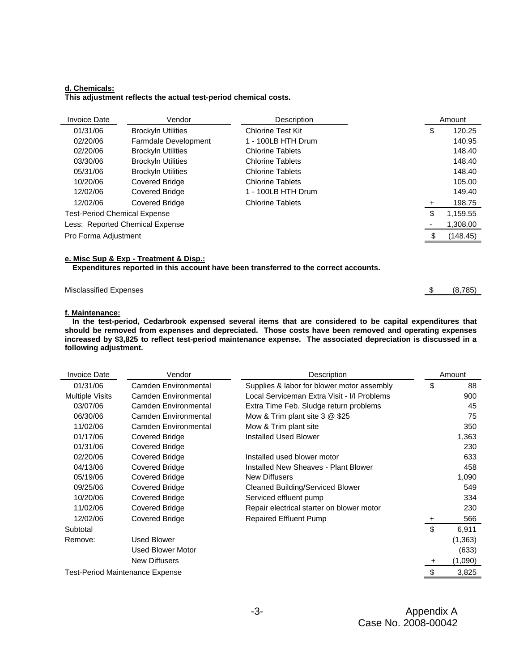#### **d. Chemicals: This adjustment reflects the actual test-period chemical costs.**

| <b>Invoice Date</b>                 | Vendor                          | Description              |       | Amount   |
|-------------------------------------|---------------------------------|--------------------------|-------|----------|
| 01/31/06                            | <b>Brockyln Utilities</b>       | <b>Chlorine Test Kit</b> | \$    | 120.25   |
| 02/20/06                            | <b>Farmdale Development</b>     | 1 - 100LB HTH Drum       |       | 140.95   |
| 02/20/06                            | <b>Brockyln Utilities</b>       | <b>Chlorine Tablets</b>  |       | 148.40   |
| 03/30/06                            | <b>Brockyln Utilities</b>       | <b>Chlorine Tablets</b>  |       | 148.40   |
| 05/31/06                            | <b>Brockyln Utilities</b>       | <b>Chlorine Tablets</b>  |       | 148.40   |
| 10/20/06                            | <b>Covered Bridge</b>           | <b>Chlorine Tablets</b>  |       | 105.00   |
| 12/02/06                            | <b>Covered Bridge</b>           | 1 - 100LB HTH Drum       |       | 149.40   |
| 12/02/06                            | <b>Covered Bridge</b>           | <b>Chlorine Tablets</b>  | $\pm$ | 198.75   |
| <b>Test-Period Chemical Expense</b> |                                 |                          | \$    | 1,159.55 |
|                                     | Less: Reported Chemical Expense |                          |       | 1,308.00 |
| Pro Forma Adjustment                |                                 |                          |       | (148.45) |
|                                     |                                 |                          |       |          |

#### **e. Misc Sup & Exp - Treatment & Disp.:**

**Expenditures reported in this account have been transferred to the correct accounts.**

| <b>Misclassified Expenses</b> | \$ | (8,785) |
|-------------------------------|----|---------|
|                               |    |         |

### **f. Maintenance:**

**In the test-period, Cedarbrook expensed several items that are considered to be capital expenditures that should be removed from expenses and depreciated. Those costs have been removed and operating expenses increased by \$3,825 to reflect test-period maintenance expense. The associated depreciation is discussed in a following adjustment.**

| \$<br>Camden Environmental<br>Supplies & labor for blower motor assembly<br>01/31/06          | 88<br>900 |
|-----------------------------------------------------------------------------------------------|-----------|
|                                                                                               |           |
| <b>Multiple Visits</b><br>Camden Environmental<br>Local Serviceman Extra Visit - I/I Problems |           |
| 03/07/06<br>Camden Environmental<br>Extra Time Feb. Sludge return problems                    | 45        |
| Mow & Trim plant site $3 \& 25$<br>06/30/06<br>Camden Environmental                           | 75        |
| 11/02/06<br>Camden Environmental<br>Mow & Trim plant site                                     | 350       |
| 01/17/06<br><b>Installed Used Blower</b><br>Covered Bridge                                    | 1,363     |
| 01/31/06<br>Covered Bridge                                                                    | 230       |
| 02/20/06<br>Covered Bridge<br>Installed used blower motor                                     | 633       |
| 04/13/06<br>Covered Bridge<br>Installed New Sheaves - Plant Blower                            | 458       |
| 05/19/06<br>Covered Bridge<br>New Diffusers                                                   | 1,090     |
| 09/25/06<br>Covered Bridge<br><b>Cleaned Building/Serviced Blower</b>                         | 549       |
| 10/20/06<br>Covered Bridge<br>Serviced effluent pump                                          | 334       |
| 11/02/06<br>Covered Bridge<br>Repair electrical starter on blower motor                       | 230       |
| 12/02/06<br>Covered Bridge<br><b>Repaired Effluent Pump</b><br>$\overline{+}$                 | 566       |
| \$<br>Subtotal                                                                                | 6,911     |
| <b>Used Blower</b><br>Remove:                                                                 | (1, 363)  |
| Used Blower Motor                                                                             | (633)     |
| <b>New Diffusers</b><br>$+$                                                                   | (1,090)   |
| <b>Test-Period Maintenance Expense</b>                                                        | 3,825     |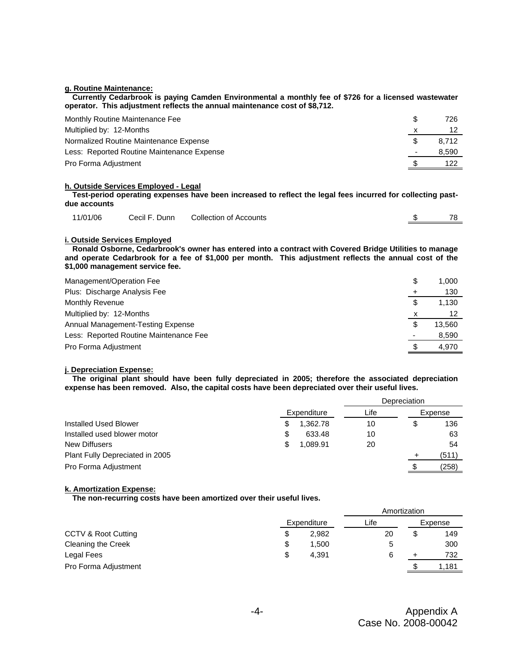#### **g. Routine Maintenance:**

**Currently Cedarbrook is paying Camden Environmental a monthly fee of \$726 for a licensed wastewater operator. This adjustment reflects the annual maintenance cost of \$8,712.**

| Monthly Routine Maintenance Fee            | 726   |
|--------------------------------------------|-------|
| Multiplied by: 12-Months                   |       |
| Normalized Routine Maintenance Expense     | 8.712 |
| Less: Reported Routine Maintenance Expense | 8,590 |
| Pro Forma Adjustment                       | 122   |

#### **h. Outside Services Employed - Legal**

**Test-period operating expenses have been increased to reflect the legal fees incurred for collecting pastdue accounts**

| 11/01/06 | Cecil F. Dunn Collection of Accounts | 78 |
|----------|--------------------------------------|----|
|          |                                      |    |

#### **i. Outside Services Employed**

**Ronald Osborne, Cedarbrook's owner has entered into a contract with Covered Bridge Utilities to manage and operate Cedarbrook for a fee of \$1,000 per month. This adjustment reflects the annual cost of the \$1,000 management service fee.** 

| Management/Operation Fee               | \$ | 1,000  |
|----------------------------------------|----|--------|
| Plus: Discharge Analysis Fee           |    | 130    |
| Monthly Revenue                        | S  | 1.130  |
| Multiplied by: 12-Months               | х  |        |
| Annual Management-Testing Expense      | \$ | 13.560 |
| Less: Reported Routine Maintenance Fee |    | 8,590  |
| Pro Forma Adjustment                   |    | 4,970  |

#### **j. Depreciation Expense:**

**The original plant should have been fully depreciated in 2005; therefore the associated depreciation expense has been removed. Also, the capital costs have been depreciated over their useful lives.**

|                                 |   | Depreciation |      |     |         |
|---------------------------------|---|--------------|------|-----|---------|
|                                 |   | Expenditure  | Life |     | Expense |
| <b>Installed Used Blower</b>    |   | 1,362.78     | 10   | \$  | 136     |
| Installed used blower motor     | S | 633.48       | 10   |     | 63      |
| New Diffusers                   | S | 1.089.91     | 20   |     | 54      |
| Plant Fully Depreciated in 2005 |   |              |      |     | (511)   |
| Pro Forma Adjustment            |   |              |      | \$. | (258)   |

#### **k. Amortization Expense:**

**The non-recurring costs have been amortized over their useful lives.**

|                      |             |       | Amortization |    |         |  |
|----------------------|-------------|-------|--------------|----|---------|--|
|                      | Expenditure |       | Life         |    | Expense |  |
| CCTV & Root Cutting  | \$          | 2,982 | 20           | \$ | 149     |  |
| Cleaning the Creek   | \$          | 1.500 |              |    | 300     |  |
| Legal Fees           | \$          | 4.391 | 6            |    | 732     |  |
| Pro Forma Adjustment |             |       |              | S  | 1.181   |  |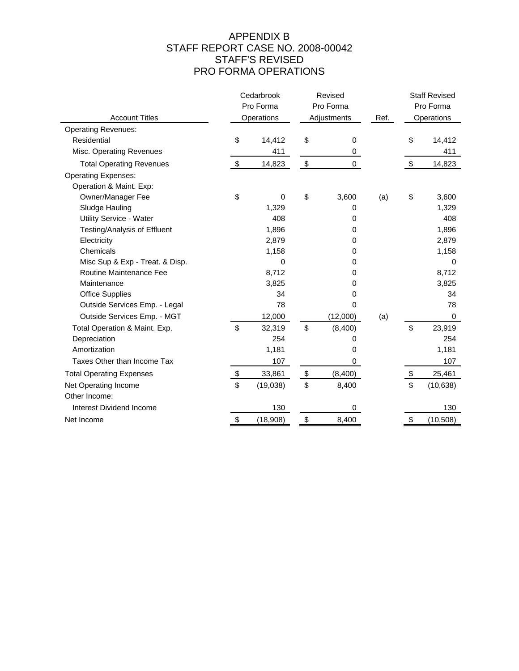# APPENDIX B STAFF REPORT CASE NO. 2008-00042 STAFF'S REVISED PRO FORMA OPERATIONS

|                                 | Cedarbrook<br>Revised<br>Pro Forma<br>Pro Forma |            |                   | <b>Staff Revised</b><br>Pro Forma |      |                           |            |
|---------------------------------|-------------------------------------------------|------------|-------------------|-----------------------------------|------|---------------------------|------------|
| <b>Account Titles</b>           |                                                 | Operations |                   | Adjustments                       | Ref. |                           | Operations |
| <b>Operating Revenues:</b>      |                                                 |            |                   |                                   |      |                           |            |
| Residential                     | \$                                              | 14,412     | \$                | 0                                 |      | \$                        | 14,412     |
| Misc. Operating Revenues        |                                                 | 411        |                   | 0                                 |      |                           | 411        |
| <b>Total Operating Revenues</b> | \$                                              | 14,823     | $\boldsymbol{\$}$ | 0                                 |      | $\boldsymbol{\mathsf{S}}$ | 14,823     |
| <b>Operating Expenses:</b>      |                                                 |            |                   |                                   |      |                           |            |
| Operation & Maint. Exp:         |                                                 |            |                   |                                   |      |                           |            |
| Owner/Manager Fee               | \$                                              | 0          | \$                | 3,600                             | (a)  | \$                        | 3,600      |
| Sludge Hauling                  |                                                 | 1,329      |                   | 0                                 |      |                           | 1,329      |
| Utility Service - Water         |                                                 | 408        |                   | 0                                 |      |                           | 408        |
| Testing/Analysis of Effluent    |                                                 | 1,896      |                   | 0                                 |      |                           | 1,896      |
| Electricity                     |                                                 | 2,879      |                   | 0                                 |      |                           | 2,879      |
| Chemicals                       |                                                 | 1,158      |                   | 0                                 |      |                           | 1,158      |
| Misc Sup & Exp - Treat. & Disp. |                                                 | 0          |                   | 0                                 |      |                           | 0          |
| Routine Maintenance Fee         |                                                 | 8,712      |                   | 0                                 |      |                           | 8,712      |
| Maintenance                     |                                                 | 3,825      |                   | 0                                 |      |                           | 3,825      |
| <b>Office Supplies</b>          |                                                 | 34         |                   | 0                                 |      |                           | 34         |
| Outside Services Emp. - Legal   |                                                 | 78         |                   | 0                                 |      |                           | 78         |
| Outside Services Emp. - MGT     |                                                 | 12,000     |                   | (12,000)                          | (a)  |                           | 0          |
| Total Operation & Maint. Exp.   | \$                                              | 32,319     | \$                | (8,400)                           |      | \$                        | 23,919     |
| Depreciation                    |                                                 | 254        |                   | 0                                 |      |                           | 254        |
| Amortization                    |                                                 | 1,181      |                   | 0                                 |      |                           | 1,181      |
| Taxes Other than Income Tax     |                                                 | 107        |                   | 0                                 |      |                           | 107        |
| <b>Total Operating Expenses</b> | \$                                              | 33,861     | \$                | (8,400)                           |      | \$                        | 25,461     |
| Net Operating Income            | \$                                              | (19,038)   | \$                | 8,400                             |      | \$                        | (10, 638)  |
| Other Income:                   |                                                 |            |                   |                                   |      |                           |            |
| Interest Dividend Income        |                                                 | 130        |                   | 0                                 |      |                           | 130        |
| Net Income                      | \$                                              | (18,908)   | \$                | 8,400                             |      | \$                        | (10, 508)  |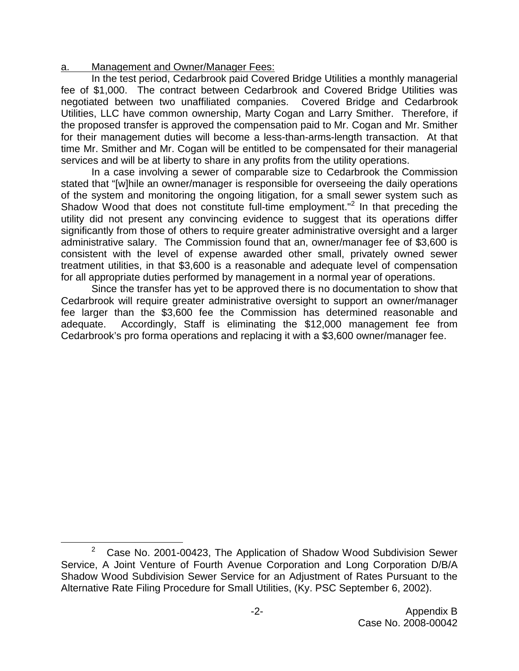# a. Management and Owner/Manager Fees:

In the test period, Cedarbrook paid Covered Bridge Utilities a monthly managerial fee of \$1,000. The contract between Cedarbrook and Covered Bridge Utilities was negotiated between two unaffiliated companies. Covered Bridge and Cedarbrook Utilities, LLC have common ownership, Marty Cogan and Larry Smither. Therefore, if the proposed transfer is approved the compensation paid to Mr. Cogan and Mr. Smither for their management duties will become a less-than-arms-length transaction. At that time Mr. Smither and Mr. Cogan will be entitled to be compensated for their managerial services and will be at liberty to share in any profits from the utility operations.

In a case involving a sewer of comparable size to Cedarbrook the Commission stated that "[w]hile an owner/manager is responsible for overseeing the daily operations of the system and monitoring the ongoing litigation, for a small sewer system such as Shadow Wood that does not constitute full-time employment."<sup>2</sup> In that preceding the utility did not present any convincing evidence to suggest that its operations differ significantly from those of others to require greater administrative oversight and a larger administrative salary. The Commission found that an, owner/manager fee of \$3,600 is consistent with the level of expense awarded other small, privately owned sewer treatment utilities, in that \$3,600 is a reasonable and adequate level of compensation for all appropriate duties performed by management in a normal year of operations.

Since the transfer has yet to be approved there is no documentation to show that Cedarbrook will require greater administrative oversight to support an owner/manager fee larger than the \$3,600 fee the Commission has determined reasonable and adequate. Accordingly, Staff is eliminating the \$12,000 management fee from Cedarbrook's pro forma operations and replacing it with a \$3,600 owner/manager fee.

<sup>&</sup>lt;sup>2</sup> Case No. 2001-00423, The Application of Shadow Wood Subdivision Sewer Service, A Joint Venture of Fourth Avenue Corporation and Long Corporation D/B/A Shadow Wood Subdivision Sewer Service for an Adjustment of Rates Pursuant to the Alternative Rate Filing Procedure for Small Utilities, (Ky. PSC September 6, 2002).